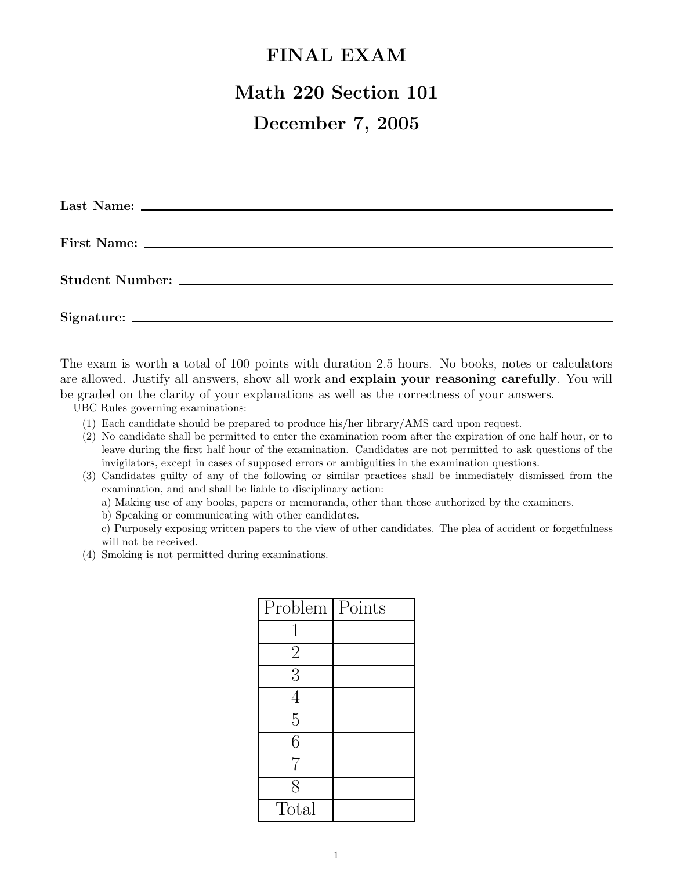## **FINAL EXAM**

## **Math 220 Section 101**

## **December 7, 2005**

The exam is worth a total of 100 points with duration 2.5 hours. No books, notes or calculators are allowed. Justify all answers, show all work and **explain your reasoning carefully**. You will be graded on the clarity of your explanations as well as the correctness of your answers.

UBC Rules governing examinations:

- (1) Each candidate should be prepared to produce his/her library/AMS card upon request.
- (2) No candidate shall be permitted to enter the examination room after the expiration of one half hour, or to leave during the first half hour of the examination. Candidates are not permitted to ask questions of the invigilators, except in cases of supposed errors or ambiguities in the examination questions.
- (3) Candidates guilty of any of the following or similar practices shall be immediately dismissed from the examination, and and shall be liable to disciplinary action:
	- a) Making use of any books, papers or memoranda, other than those authorized by the examiners.
	- b) Speaking or communicating with other candidates.
	- c) Purposely exposing written papers to the view of other candidates. The plea of accident or forgetfulness will not be received.
- (4) Smoking is not permitted during examinations.

| Problem   Points |  |
|------------------|--|
|                  |  |
| $\overline{2}$   |  |
| $\overline{3}$   |  |
| 4                |  |
| $\overline{5}$   |  |
| 6                |  |
| 7                |  |
| 8                |  |
| Total            |  |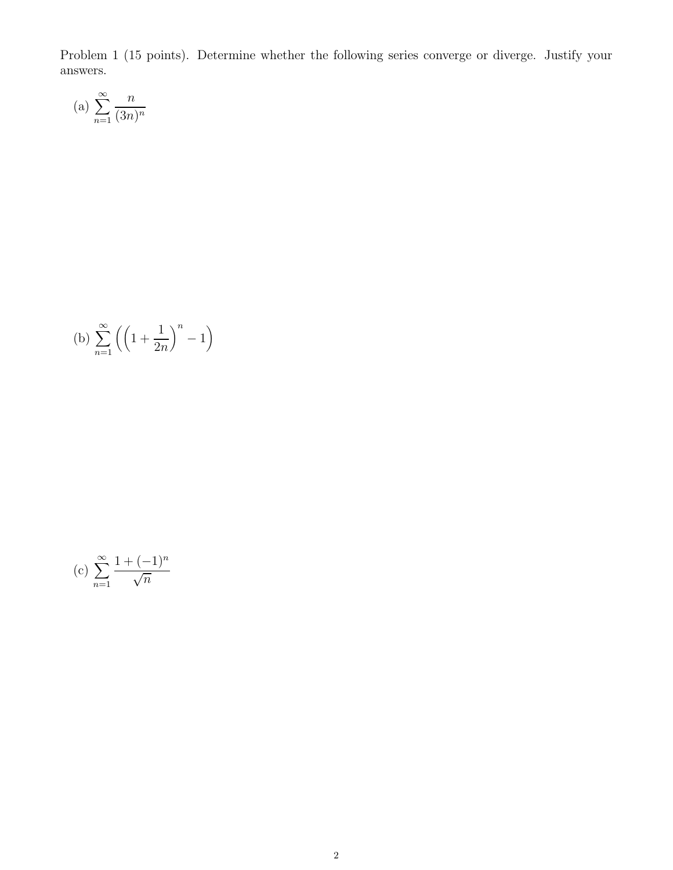Problem 1 (15 points). Determine whether the following series converge or diverge. Justify your answers.

(a) 
$$
\sum_{n=1}^{\infty} \frac{n}{(3n)^n}
$$

(b) 
$$
\sum_{n=1}^{\infty} \left( \left( 1 + \frac{1}{2n} \right)^n - 1 \right)
$$

(c) 
$$
\sum_{n=1}^{\infty} \frac{1 + (-1)^n}{\sqrt{n}}
$$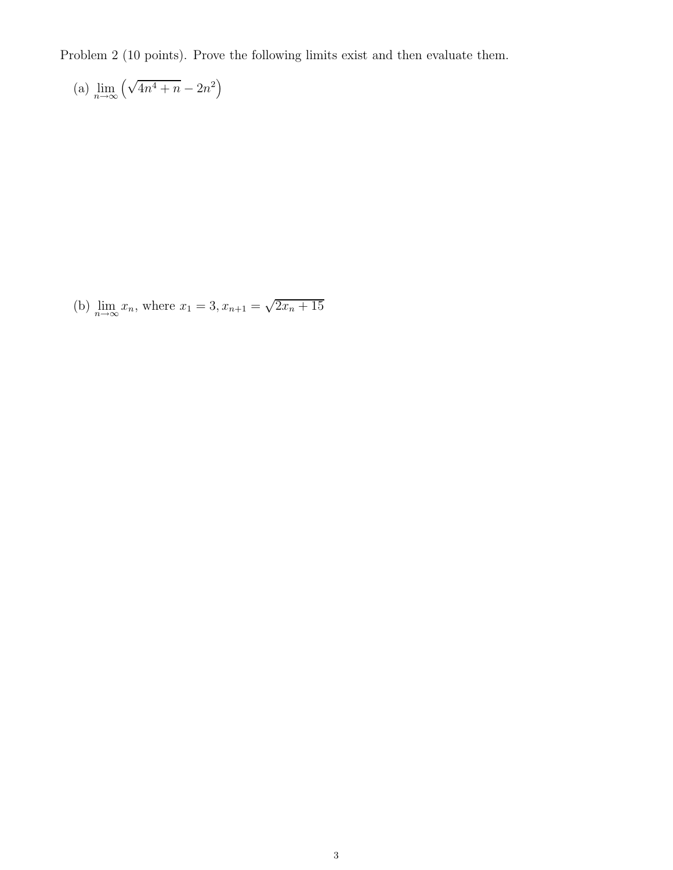Problem 2 (10 points). Prove the following limits exist and then evaluate them.

(a) 
$$
\lim_{n \to \infty} \left( \sqrt{4n^4 + n} - 2n^2 \right)
$$

(b)  $\lim_{n \to \infty} x_n$ , where  $x_1 = 3, x_{n+1} = \sqrt{2x_n + 15}$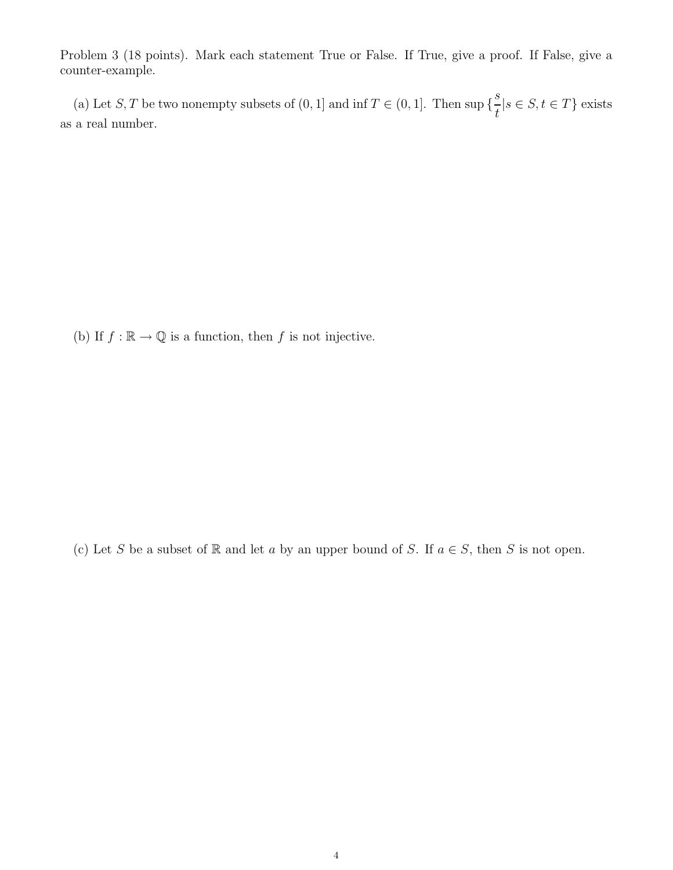Problem 3 (18 points). Mark each statement True or False. If True, give a proof. If False, give a counter-example.

(a) Let S, T be two nonempty subsets of  $(0, 1]$  and inf  $T \in (0, 1]$ . Then sup { s t  $|s \in S, t \in T\}$  exists as a real number.

(b) If  $f : \mathbb{R} \to \mathbb{Q}$  is a function, then f is not injective.

(c) Let S be a subset of  $\mathbb R$  and let a by an upper bound of S. If  $a \in S$ , then S is not open.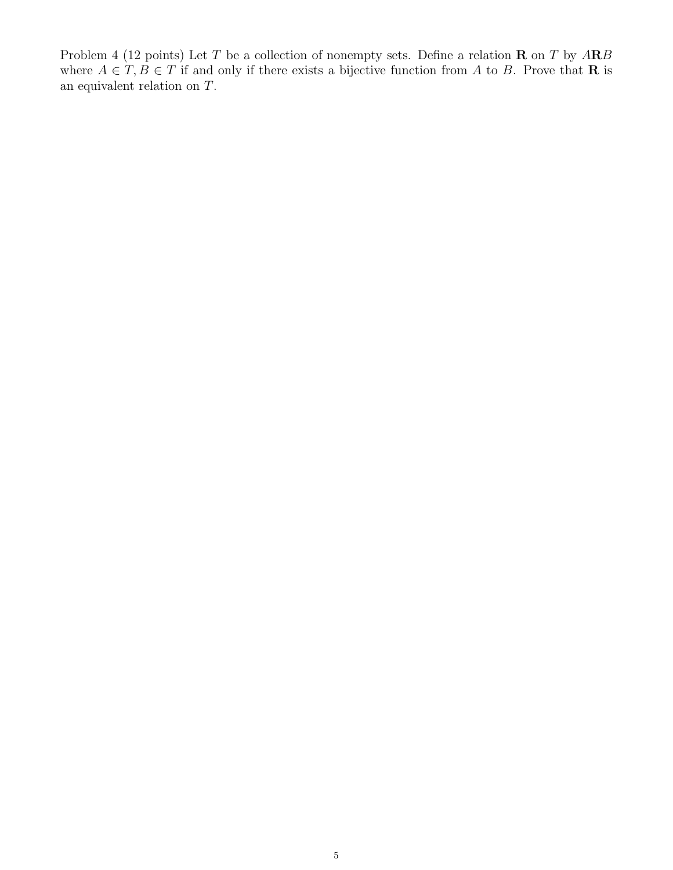Problem 4 (12 points) Let T be a collection of nonempty sets. Define a relation **R** on T by A**R**B where  $A \in T, B \in T$  if and only if there exists a bijective function from A to B. Prove that **R** is an equivalent relation on T.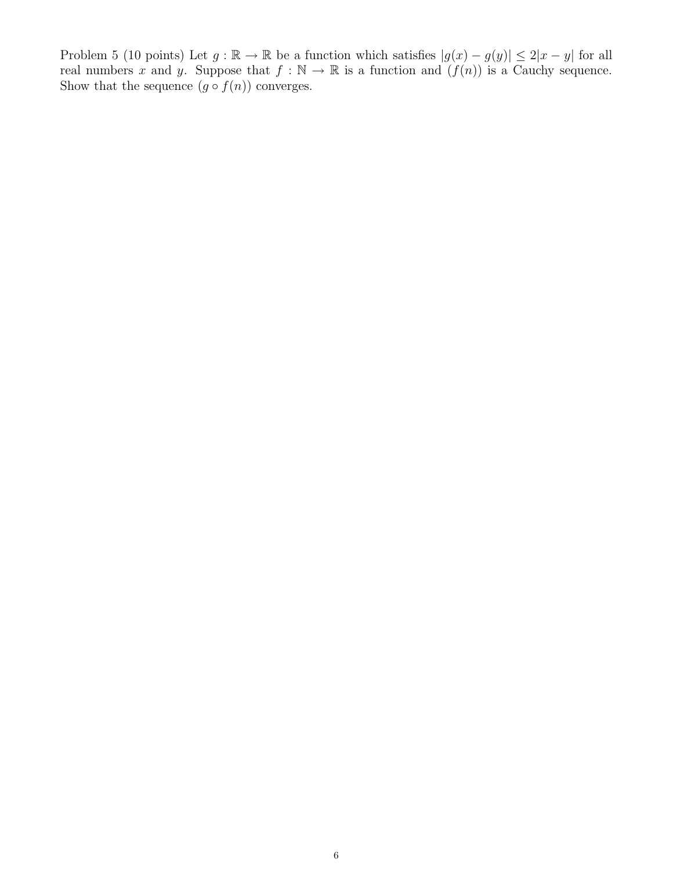Problem 5 (10 points) Let  $g : \mathbb{R} \to \mathbb{R}$  be a function which satisfies  $|g(x) - g(y)| \leq 2|x - y|$  for all real numbers x and y. Suppose that  $f : \mathbb{N} \to \mathbb{R}$  is a function and  $(f(n))$  is a Cauchy sequence. Show that the sequence  $(g \circ f(n))$  converges.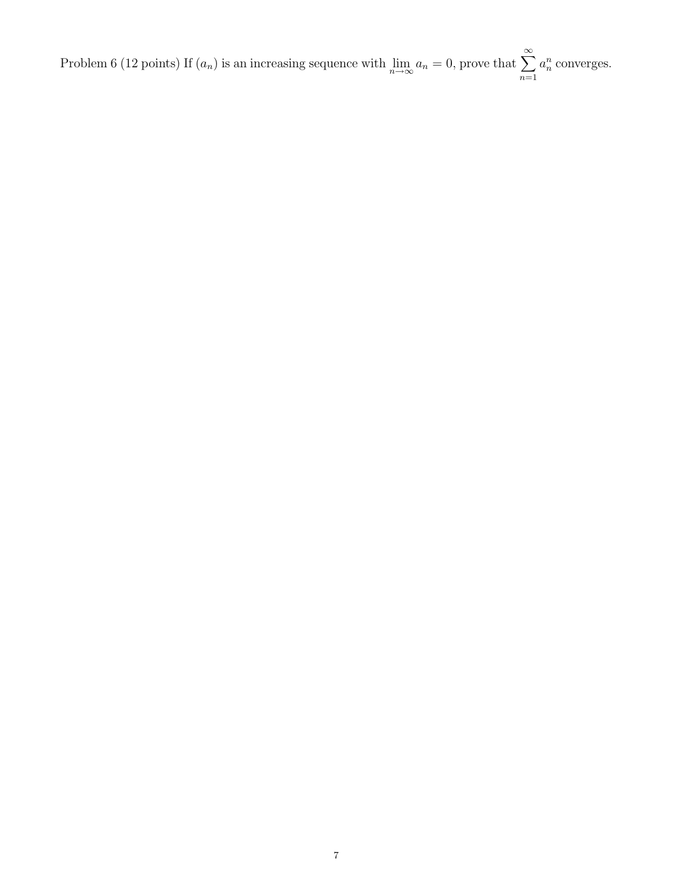Problem 6 (12 points) If  $(a_n)$  is an increasing sequence with  $\lim_{n\to\infty} a_n = 0$ , prove that  $\sum_{n=1}^{\infty} a_n = 0$  $a_n^n$  converges.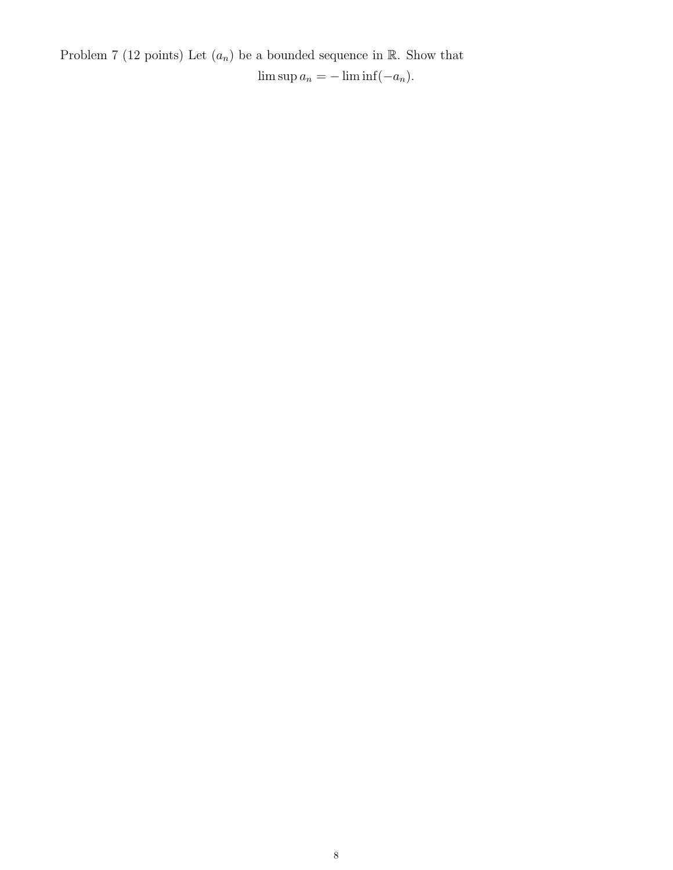Problem 7 (12 points) Let  $(a_n)$  be a bounded sequence in  $\mathbb R$ . Show that  $\limsup a_n = -\liminf (-a_n).$